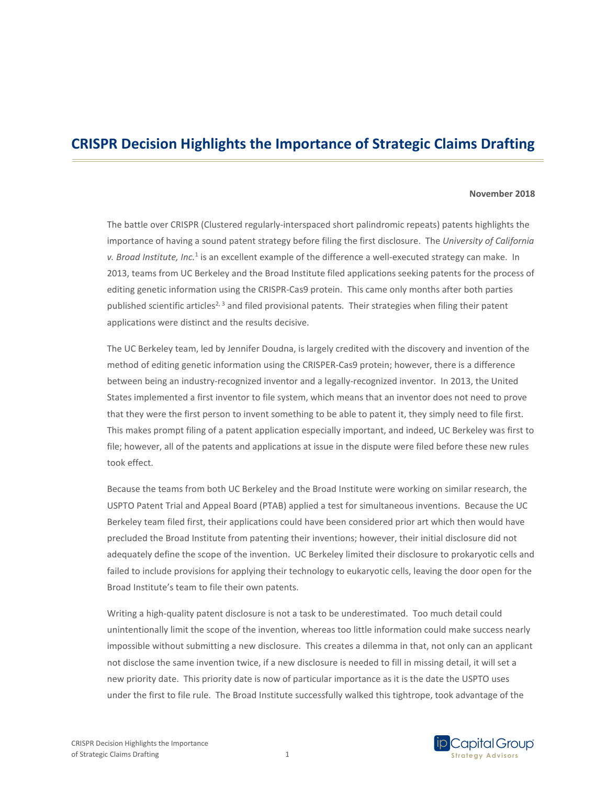# **CRISPR Decision Highlights the Importance of Strategic Claims Drafting**

### **November 2018**

The battle over CRISPR (Clustered regularly-interspaced short palindromic repeats) patents highlights the importance of having a sound patent strategy before filing the first disclosure. The *University of California v. Broad Institute, Inc.*<sup>1</sup> is an excellent example of the difference a well-executed strategy can make. In 2013, teams from UC Berkeley and the Broad Institute filed applications seeking patents for the process of editing genetic information using the CRISPR-Cas9 protein. This came only months after both parties published scientific articles<sup>2, 3</sup> and filed provisional patents. Their strategies when filing their patent applications were distinct and the results decisive.

The UC Berkeley team, led by Jennifer Doudna, is largely credited with the discovery and invention of the method of editing genetic information using the CRISPER-Cas9 protein; however, there is a difference between being an industry-recognized inventor and a legally-recognized inventor. In 2013, the United States implemented a first inventor to file system, which means that an inventor does not need to prove that they were the first person to invent something to be able to patent it, they simply need to file first. This makes prompt filing of a patent application especially important, and indeed, UC Berkeley was first to file; however, all of the patents and applications at issue in the dispute were filed before these new rules took effect.

Because the teams from both UC Berkeley and the Broad Institute were working on similar research, the USPTO Patent Trial and Appeal Board (PTAB) applied a test for simultaneous inventions. Because the UC Berkeley team filed first, their applications could have been considered prior art which then would have precluded the Broad Institute from patenting their inventions; however, their initial disclosure did not adequately define the scope of the invention. UC Berkeley limited their disclosure to prokaryotic cells and failed to include provisions for applying their technology to eukaryotic cells, leaving the door open for the Broad Institute's team to file their own patents.

Writing a high-quality patent disclosure is not a task to be underestimated. Too much detail could unintentionally limit the scope of the invention, whereas too little information could make success nearly impossible without submitting a new disclosure. This creates a dilemma in that, not only can an applicant not disclose the same invention twice, if a new disclosure is needed to fill in missing detail, it will set a new priority date. This priority date is now of particular importance as it is the date the USPTO uses under the first to file rule. The Broad Institute successfully walked this tightrope, took advantage of the